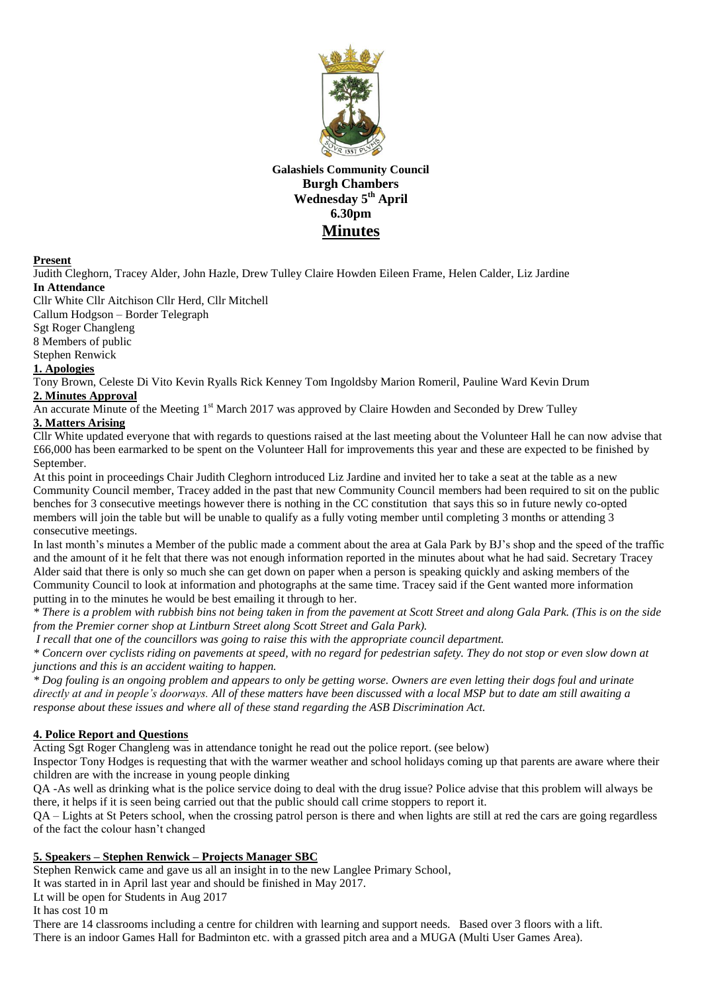

**Galashiels Community Council Burgh Chambers Wednesday 5 th April 6.30pm Minutes**

#### **Present**

Judith Cleghorn, Tracey Alder, John Hazle, Drew Tulley Claire Howden Eileen Frame, Helen Calder, Liz Jardine **In Attendance**

Cllr White Cllr Aitchison Cllr Herd, Cllr Mitchell

Callum Hodgson – Border Telegraph

Sgt Roger Changleng

8 Members of public

Stephen Renwick

# **1. Apologies**

Tony Brown, Celeste Di Vito Kevin Ryalls Rick Kenney Tom Ingoldsby Marion Romeril, Pauline Ward Kevin Drum **2. Minutes Approval**

An accurate Minute of the Meeting 1<sup>st</sup> March 2017 was approved by Claire Howden and Seconded by Drew Tulley

## **3. Matters Arising**

Cllr White updated everyone that with regards to questions raised at the last meeting about the Volunteer Hall he can now advise that £66,000 has been earmarked to be spent on the Volunteer Hall for improvements this year and these are expected to be finished by September.

At this point in proceedings Chair Judith Cleghorn introduced Liz Jardine and invited her to take a seat at the table as a new Community Council member, Tracey added in the past that new Community Council members had been required to sit on the public benches for 3 consecutive meetings however there is nothing in the CC constitution that says this so in future newly co-opted members will join the table but will be unable to qualify as a fully voting member until completing 3 months or attending 3 consecutive meetings.

In last month's minutes a Member of the public made a comment about the area at Gala Park by BJ's shop and the speed of the traffic and the amount of it he felt that there was not enough information reported in the minutes about what he had said. Secretary Tracey Alder said that there is only so much she can get down on paper when a person is speaking quickly and asking members of the Community Council to look at information and photographs at the same time. Tracey said if the Gent wanted more information putting in to the minutes he would be best emailing it through to her.

*\* There is a problem with rubbish bins not being taken in from the pavement at Scott Street and along Gala Park. (This is on the side from the Premier corner shop at Lintburn Street along Scott Street and Gala Park).*

*I recall that one of the councillors was going to raise this with the appropriate council department.*

*\* Concern over cyclists riding on pavements at speed, with no regard for pedestrian safety. They do not stop or even slow down at junctions and this is an accident waiting to happen.*

*\* Dog fouling is an ongoing problem and appears to only be getting worse. Owners are even letting their dogs foul and urinate directly at and in people's doorways. All of these matters have been discussed with a local MSP but to date am still awaiting a response about these issues and where all of these stand regarding the ASB Discrimination Act.*

# **4. Police Report and Questions**

Acting Sgt Roger Changleng was in attendance tonight he read out the police report. (see below)

Inspector Tony Hodges is requesting that with the warmer weather and school holidays coming up that parents are aware where their children are with the increase in young people dinking

QA -As well as drinking what is the police service doing to deal with the drug issue? Police advise that this problem will always be there, it helps if it is seen being carried out that the public should call crime stoppers to report it.

QA – Lights at St Peters school, when the crossing patrol person is there and when lights are still at red the cars are going regardless of the fact the colour hasn't changed

# **5. Speakers – Stephen Renwick – Projects Manager SBC**

Stephen Renwick came and gave us all an insight in to the new Langlee Primary School,

It was started in in April last year and should be finished in May 2017.

Lt will be open for Students in Aug 2017

It has cost 10 m

There are 14 classrooms including a centre for children with learning and support needs. Based over 3 floors with a lift. There is an indoor Games Hall for Badminton etc. with a grassed pitch area and a MUGA (Multi User Games Area).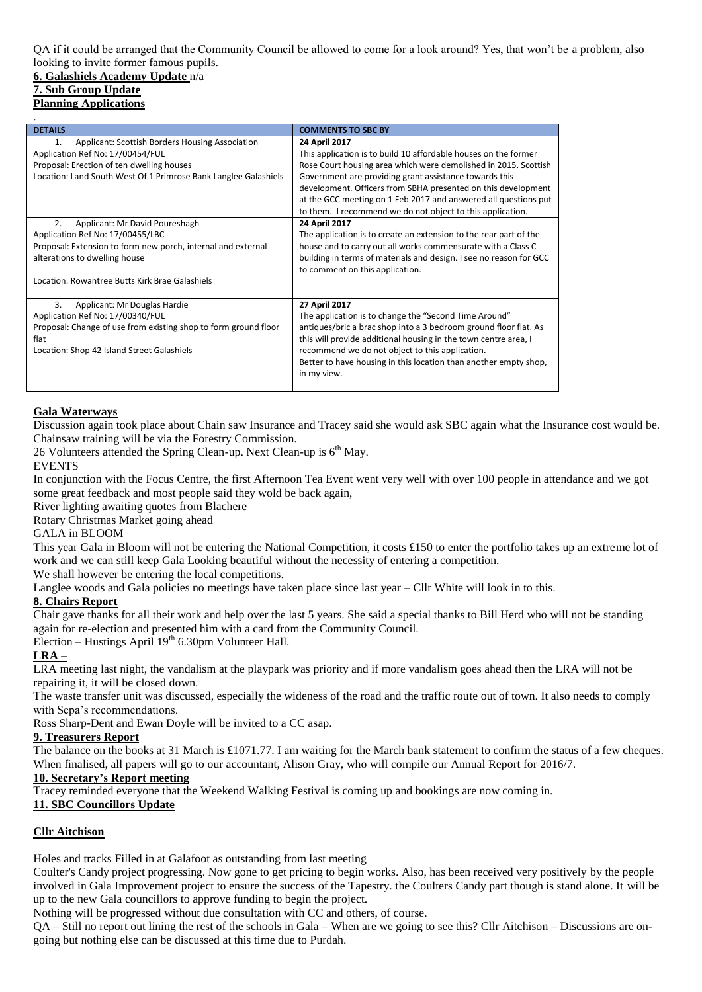QA if it could be arranged that the Community Council be allowed to come for a look around? Yes, that won't be a problem, also looking to invite former famous pupils.

#### **6. Galashiels Academy Update** n/a **7. Sub Group Update Planning Applications**

| <b>DETAILS</b>                                                  | <b>COMMENTS TO SBC BY</b>                                          |
|-----------------------------------------------------------------|--------------------------------------------------------------------|
| Applicant: Scottish Borders Housing Association<br>1.           | 24 April 2017                                                      |
| Application Ref No: 17/00454/FUL                                | This application is to build 10 affordable houses on the former    |
| Proposal: Erection of ten dwelling houses                       | Rose Court housing area which were demolished in 2015. Scottish    |
| Location: Land South West Of 1 Primrose Bank Langlee Galashiels | Government are providing grant assistance towards this             |
|                                                                 | development. Officers from SBHA presented on this development      |
|                                                                 | at the GCC meeting on 1 Feb 2017 and answered all questions put    |
|                                                                 | to them. I recommend we do not object to this application.         |
| Applicant: Mr David Poureshagh<br>2.                            | 24 April 2017                                                      |
| Application Ref No: 17/00455/LBC                                | The application is to create an extension to the rear part of the  |
| Proposal: Extension to form new porch, internal and external    | house and to carry out all works commensurate with a Class C       |
| alterations to dwelling house                                   | building in terms of materials and design. I see no reason for GCC |
|                                                                 | to comment on this application.                                    |
| Location: Rowantree Butts Kirk Brae Galashiels                  |                                                                    |
|                                                                 |                                                                    |
| 3.<br>Applicant: Mr Douglas Hardie                              | 27 April 2017                                                      |
| Application Ref No: 17/00340/FUL                                | The application is to change the "Second Time Around"              |
| Proposal: Change of use from existing shop to form ground floor | antiques/bric a brac shop into a 3 bedroom ground floor flat. As   |
| flat                                                            | this will provide additional housing in the town centre area, I    |
| Location: Shop 42 Island Street Galashiels                      | recommend we do not object to this application.                    |
|                                                                 | Better to have housing in this location than another empty shop,   |
|                                                                 | in my view.                                                        |
|                                                                 |                                                                    |

#### **Gala Waterways**

Discussion again took place about Chain saw Insurance and Tracey said she would ask SBC again what the Insurance cost would be. Chainsaw training will be via the Forestry Commission.

26 Volunteers attended the Spring Clean-up. Next Clean-up is  $6<sup>th</sup>$  May.

#### EVENTS

In conjunction with the Focus Centre, the first Afternoon Tea Event went very well with over 100 people in attendance and we got some great feedback and most people said they wold be back again,

River lighting awaiting quotes from Blachere

Rotary Christmas Market going ahead

## GALA in BLOOM

This year Gala in Bloom will not be entering the National Competition, it costs £150 to enter the portfolio takes up an extreme lot of work and we can still keep Gala Looking beautiful without the necessity of entering a competition.

We shall however be entering the local competitions.

Langlee woods and Gala policies no meetings have taken place since last year – Cllr White will look in to this.

#### **8. Chairs Report**

Chair gave thanks for all their work and help over the last 5 years. She said a special thanks to Bill Herd who will not be standing again for re-election and presented him with a card from the Community Council.

Election – Hustings April  $19<sup>th</sup>$  6.30pm Volunteer Hall.

## **LRA –**

LRA meeting last night, the vandalism at the playpark was priority and if more vandalism goes ahead then the LRA will not be repairing it, it will be closed down.

The waste transfer unit was discussed, especially the wideness of the road and the traffic route out of town. It also needs to comply with Sepa's recommendations.

Ross Sharp-Dent and Ewan Doyle will be invited to a CC asap.

#### **9. Treasurers Report**

The balance on the books at 31 March is £1071.77. I am waiting for the March bank statement to confirm the status of a few cheques. When finalised, all papers will go to our accountant. Alison Gray, who will compile our Annual Report for 2016/7.

# **10. Secretary's Report meeting**

Tracey reminded everyone that the Weekend Walking Festival is coming up and bookings are now coming in.

## **11. SBC Councillors Update**

## **Cllr Aitchison**

Holes and tracks Filled in at Galafoot as outstanding from last meeting

Coulter's Candy project progressing. Now gone to get pricing to begin works. Also, has been received very positively by the people involved in Gala Improvement project to ensure the success of the Tapestry. the Coulters Candy part though is stand alone. It will be up to the new Gala councillors to approve funding to begin the project.

Nothing will be progressed without due consultation with CC and others, of course.

QA – Still no report out lining the rest of the schools in Gala – When are we going to see this? Cllr Aitchison – Discussions are ongoing but nothing else can be discussed at this time due to Purdah.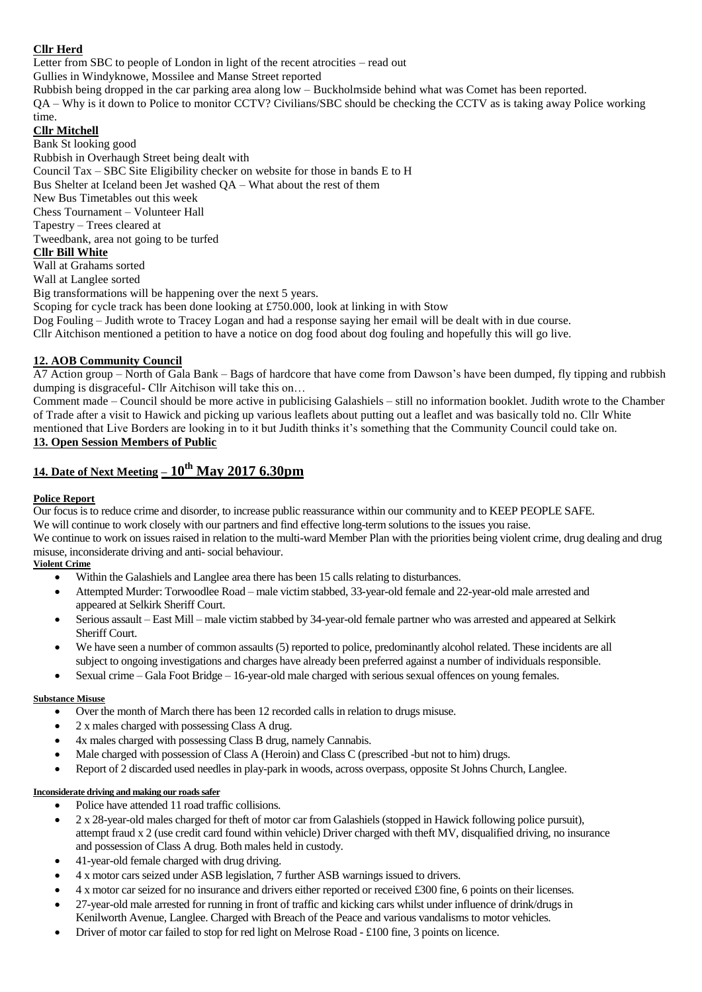## **Cllr Herd**

Letter from SBC to people of London in light of the recent atrocities – read out

Gullies in Windyknowe, Mossilee and Manse Street reported

Rubbish being dropped in the car parking area along low – Buckholmside behind what was Comet has been reported.

QA – Why is it down to Police to monitor CCTV? Civilians/SBC should be checking the CCTV as is taking away Police working time.

# **Cllr Mitchell**

Bank St looking good Rubbish in Overhaugh Street being dealt with Council Tax – SBC Site Eligibility checker on website for those in bands E to H Bus Shelter at Iceland been Jet washed QA – What about the rest of them New Bus Timetables out this week Chess Tournament – Volunteer Hall Tapestry – Trees cleared at Tweedbank, area not going to be turfed **Cllr Bill White** Wall at Grahams sorted Wall at Langlee sorted Big transformations will be happening over the next 5 years.

Scoping for cycle track has been done looking at £750.000, look at linking in with Stow Dog Fouling – Judith wrote to Tracey Logan and had a response saying her email will be dealt with in due course. Cllr Aitchison mentioned a petition to have a notice on dog food about dog fouling and hopefully this will go live.

## **12. AOB Community Council**

A7 Action group – North of Gala Bank – Bags of hardcore that have come from Dawson's have been dumped, fly tipping and rubbish dumping is disgraceful- Cllr Aitchison will take this on…

Comment made – Council should be more active in publicising Galashiels – still no information booklet. Judith wrote to the Chamber of Trade after a visit to Hawick and picking up various leaflets about putting out a leaflet and was basically told no. Cllr White mentioned that Live Borders are looking in to it but Judith thinks it's something that the Community Council could take on. **13. Open Session Members of Public**

# **14. Date of Next Meeting – 10th May 2017 6.30pm**

## **Police Report**

Our focus is to reduce crime and disorder, to increase public reassurance within our community and to KEEP PEOPLE SAFE. We will continue to work closely with our partners and find effective long-term solutions to the issues you raise.

We continue to work on issues raised in relation to the multi-ward Member Plan with the priorities being violent crime, drug dealing and drug misuse, inconsiderate driving and anti- social behaviour.

### **Violent Crime**

- Within the Galashiels and Langlee area there has been 15 calls relating to disturbances.
- Attempted Murder: Torwoodlee Road male victim stabbed, 33-year-old female and 22-year-old male arrested and appeared at Selkirk Sheriff Court.
- Serious assault East Mill male victim stabbed by 34-year-old female partner who was arrested and appeared at Selkirk Sheriff Court.
- We have seen a number of common assaults (5) reported to police, predominantly alcohol related. These incidents are all subject to ongoing investigations and charges have already been preferred against a number of individuals responsible.
- Sexual crime Gala Foot Bridge 16-year-old male charged with serious sexual offences on young females.

#### **Substance Misuse**

- Over the month of March there has been 12 recorded calls in relation to drugs misuse.
- 2 x males charged with possessing Class A drug.
- 4x males charged with possessing Class B drug, namely Cannabis.
- Male charged with possession of Class A (Heroin) and Class C (prescribed -but not to him) drugs.
- Report of 2 discarded used needles in play-park in woods, across overpass, opposite St Johns Church, Langlee.

#### **Inconsiderate driving and making our roads safer**

- Police have attended 11 road traffic collisions.
- 2 x 28-year-old males charged for theft of motor car from Galashiels (stopped in Hawick following police pursuit), attempt fraud x 2 (use credit card found within vehicle) Driver charged with theft MV, disqualified driving, no insurance and possession of Class A drug. Both males held in custody.
- 41-year-old female charged with drug driving.
- 4 x motor cars seized under ASB legislation, 7 further ASB warnings issued to drivers.
- 4 x motor car seized for no insurance and drivers either reported or received £300 fine, 6 points on their licenses.
- 27-year-old male arrested for running in front of traffic and kicking cars whilst under influence of drink/drugs in Kenilworth Avenue, Langlee. Charged with Breach of the Peace and various vandalisms to motor vehicles.
- Driver of motor car failed to stop for red light on Melrose Road £100 fine, 3 points on licence.